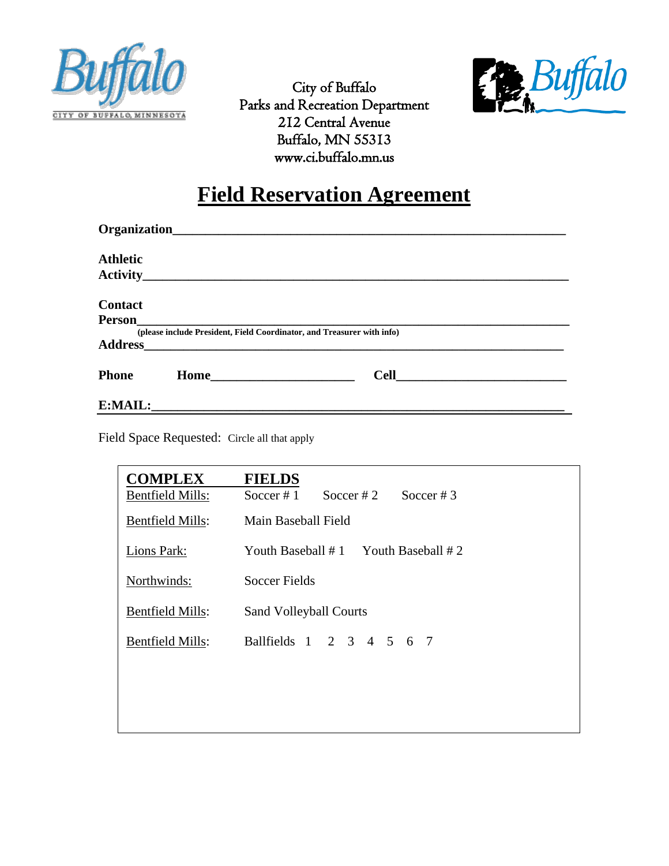



City of Buffalo Parks and Recreation Department 212 Central Avenue Buffalo, MN 55313 www.ci.buffalo.mn.us

## **Field Reservation Agreement**

| <b>Athletic</b> |                                                                        |  |
|-----------------|------------------------------------------------------------------------|--|
|                 |                                                                        |  |
| <b>Contact</b>  |                                                                        |  |
| <b>Person</b>   |                                                                        |  |
| <b>Address</b>  | (please include President, Field Coordinator, and Treasurer with info) |  |
| <b>Phone</b>    |                                                                        |  |
|                 |                                                                        |  |

Field Space Requested: Circle all that apply

| <b>COMPLEX</b>          | <b>FIELDS</b>                              |  |  |  |  |
|-------------------------|--------------------------------------------|--|--|--|--|
| <b>Bentfield Mills:</b> | Soccer # $1$<br>Soccer # 2<br>Soccer # $3$ |  |  |  |  |
| <b>Bentfield Mills:</b> | Main Baseball Field                        |  |  |  |  |
| Lions Park:             | Youth Baseball $# 1$ Youth Baseball $# 2$  |  |  |  |  |
| Northwinds:             | <b>Soccer Fields</b>                       |  |  |  |  |
| <b>Bentfield Mills:</b> | <b>Sand Volleyball Courts</b>              |  |  |  |  |
| <b>Bentfield Mills:</b> | Ballfields 1 2 3 4 5 6 7                   |  |  |  |  |
|                         |                                            |  |  |  |  |
|                         |                                            |  |  |  |  |
|                         |                                            |  |  |  |  |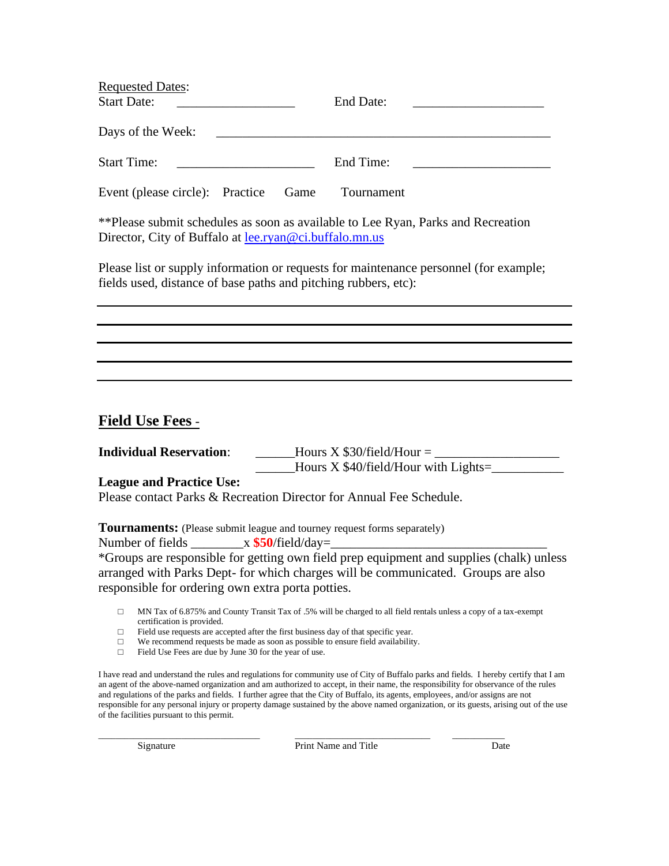| <b>Requested Dates:</b>         |                                          |      |            |                                               |
|---------------------------------|------------------------------------------|------|------------|-----------------------------------------------|
| <b>Start Date:</b>              | <u> 1989 - Andrea State Barbara, pre</u> |      | End Date:  | <u> 1980 - Andrea Andrew Maria (h. 1980).</u> |
| Days of the Week:               |                                          |      |            |                                               |
| <b>Start Time:</b>              |                                          |      | End Time:  |                                               |
| Event (please circle): Practice |                                          | Game | Tournament |                                               |

\*\*Please submit schedules as soon as available to Lee Ryan, Parks and Recreation Director, City of Buffalo at **lee.ryan@ci.buffalo.mn.us** 

Please list or supply information or requests for maintenance personnel (for example; fields used, distance of base paths and pitching rubbers, etc):

## **Field Use Fees** -

**Individual Reservation:** \_\_\_\_\_\_Hours X \$30/field/Hour = \_\_\_\_\_\_\_\_\_\_\_\_\_\_\_\_\_\_\_\_\_\_\_\_ Hours  $X$  \$40/field/Hour with Lights= $\frac{1}{2}$ 

**League and Practice Use:**

Please contact Parks & Recreation Director for Annual Fee Schedule.

**Tournaments:** (Please submit league and tourney request forms separately)

Number of fields  $x$  **\$50**/field/day=

\*Groups are responsible for getting own field prep equipment and supplies (chalk) unless arranged with Parks Dept- for which charges will be communicated. Groups are also responsible for ordering own extra porta potties.

□ MN Tax of 6.875% and County Transit Tax of .5% will be charged to all field rentals unless a copy of a tax-exempt certification is provided.

□ Field use requests are accepted after the first business day of that specific year.

- □ We recommend requests be made as soon as possible to ensure field availability.
- □ Field Use Fees are due by June 30 for the year of use.

I have read and understand the rules and regulations for community use of City of Buffalo parks and fields. I hereby certify that I am an agent of the above-named organization and am authorized to accept, in their name, the responsibility for observance of the rules and regulations of the parks and fields. I further agree that the City of Buffalo, its agents, employees, and/or assigns are not responsible for any personal injury or property damage sustained by the above named organization, or its guests, arising out of the use of the facilities pursuant to this permit.

\_\_\_\_\_\_\_\_\_\_\_\_\_\_\_\_\_\_\_\_\_\_\_\_\_\_\_\_\_\_\_\_\_\_\_\_\_ \_\_\_\_\_\_\_\_\_\_\_\_\_\_\_\_\_\_\_\_\_\_\_\_\_\_\_\_\_\_\_ \_\_\_\_\_\_\_\_\_\_\_\_ Signature Print Name and Title Date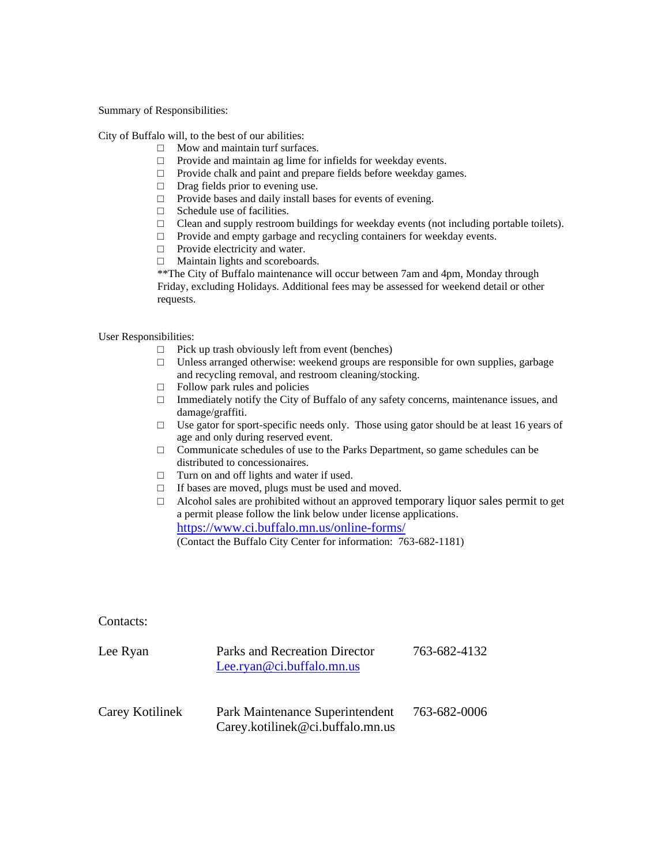Summary of Responsibilities:

City of Buffalo will, to the best of our abilities:

- □ Mow and maintain turf surfaces.
- □ Provide and maintain ag lime for infields for weekday events.
- □ Provide chalk and paint and prepare fields before weekday games.
- □ Drag fields prior to evening use.
- □ Provide bases and daily install bases for events of evening.
- $\Box$  Schedule use of facilities.
- $\Box$  Clean and supply restroom buildings for weekday events (not including portable toilets).
- □ Provide and empty garbage and recycling containers for weekday events.
- □ Provide electricity and water.
- □ Maintain lights and scoreboards.

\*\*The City of Buffalo maintenance will occur between 7am and 4pm, Monday through Friday, excluding Holidays. Additional fees may be assessed for weekend detail or other requests.

User Responsibilities:

- $\Box$  Pick up trash obviously left from event (benches)
- $\Box$  Unless arranged otherwise: weekend groups are responsible for own supplies, garbage and recycling removal, and restroom cleaning/stocking.
- $\Box$  Follow park rules and policies
- □ Immediately notify the City of Buffalo of any safety concerns, maintenance issues, and damage/graffiti.
- $\Box$  Use gator for sport-specific needs only. Those using gator should be at least 16 years of age and only during reserved event.
- $\Box$  Communicate schedules of use to the Parks Department, so game schedules can be distributed to concessionaires.
- □ Turn on and off lights and water if used.
- □ If bases are moved, plugs must be used and moved.
- $\Box$  Alcohol sales are prohibited without an approved temporary liquor sales permit to get a permit please follow the link below under license applications. <https://www.ci.buffalo.mn.us/online-forms/> (Contact the Buffalo City Center for information: 763-682-1181)

Contacts:

| Lee Ryan        | Parks and Recreation Director<br>Lee.ryan@ci.buffalo.mn.us          | 763-682-4132 |
|-----------------|---------------------------------------------------------------------|--------------|
| Carey Kotilinek | Park Maintenance Superintendent<br>Carey.kotilinek@ci.buffalo.mn.us | 763-682-0006 |